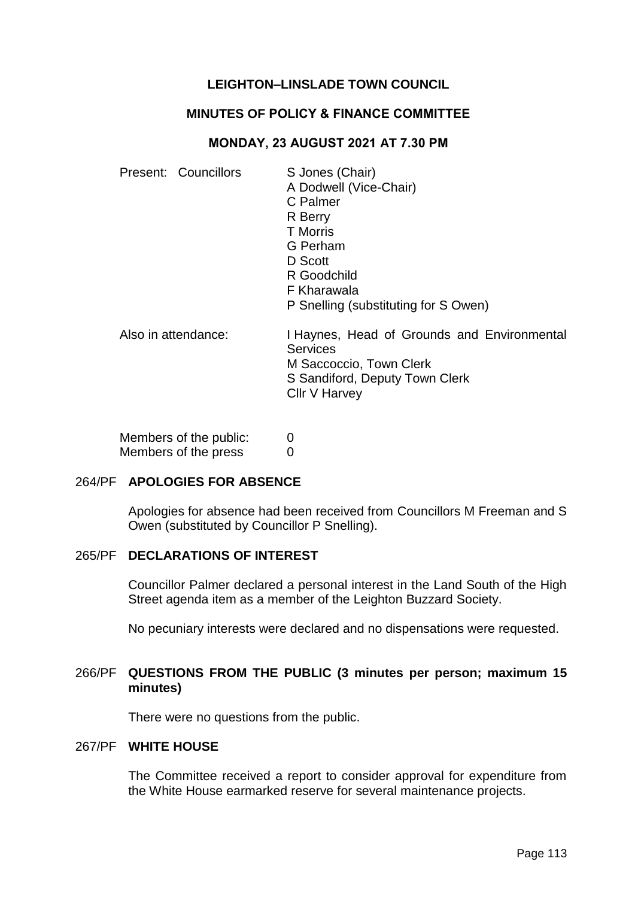# **LEIGHTON–LINSLADE TOWN COUNCIL**

## **MINUTES OF POLICY & FINANCE COMMITTEE**

## **MONDAY, 23 AUGUST 2021 AT 7.30 PM**

| Present: Councillors   | S Jones (Chair)<br>A Dodwell (Vice-Chair)<br>C Palmer<br>R Berry<br><b>T</b> Morris<br>G Perham<br>D Scott<br>R Goodchild<br>F Kharawala<br>P Snelling (substituting for S Owen) |
|------------------------|----------------------------------------------------------------------------------------------------------------------------------------------------------------------------------|
| Also in attendance:    | I Haynes, Head of Grounds and Environmental<br><b>Services</b><br>M Saccoccio, Town Clerk<br>S Sandiford, Deputy Town Clerk<br>Cllr V Harvey                                     |
| Members of the public: | O                                                                                                                                                                                |

| <b>INIGITINGIS OF THE PUDITY.</b> |          |
|-----------------------------------|----------|
| Members of the press              | $\Omega$ |

#### 264/PF **APOLOGIES FOR ABSENCE**

Apologies for absence had been received from Councillors M Freeman and S Owen (substituted by Councillor P Snelling).

# 265/PF **DECLARATIONS OF INTEREST**

Councillor Palmer declared a personal interest in the Land South of the High Street agenda item as a member of the Leighton Buzzard Society.

No pecuniary interests were declared and no dispensations were requested.

# 266/PF **QUESTIONS FROM THE PUBLIC (3 minutes per person; maximum 15 minutes)**

There were no questions from the public.

#### 267/PF **WHITE HOUSE**

The Committee received a report to consider approval for expenditure from the White House earmarked reserve for several maintenance projects.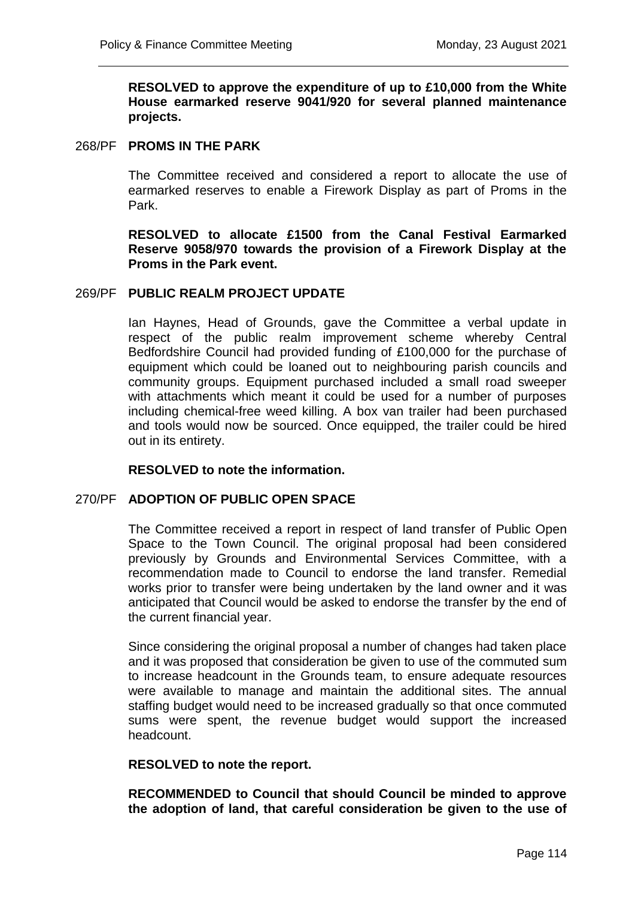## **RESOLVED to approve the expenditure of up to £10,000 from the White House earmarked reserve 9041/920 for several planned maintenance projects.**

## 268/PF **PROMS IN THE PARK**

The Committee received and considered a report to allocate the use of earmarked reserves to enable a Firework Display as part of Proms in the Park.

**RESOLVED to allocate £1500 from the Canal Festival Earmarked Reserve 9058/970 towards the provision of a Firework Display at the Proms in the Park event.**

### 269/PF **PUBLIC REALM PROJECT UPDATE**

Ian Haynes, Head of Grounds, gave the Committee a verbal update in respect of the public realm improvement scheme whereby Central Bedfordshire Council had provided funding of £100,000 for the purchase of equipment which could be loaned out to neighbouring parish councils and community groups. Equipment purchased included a small road sweeper with attachments which meant it could be used for a number of purposes including chemical-free weed killing. A box van trailer had been purchased and tools would now be sourced. Once equipped, the trailer could be hired out in its entirety.

#### **RESOLVED to note the information.**

# 270/PF **ADOPTION OF PUBLIC OPEN SPACE**

The Committee received a report in respect of land transfer of Public Open Space to the Town Council. The original proposal had been considered previously by Grounds and Environmental Services Committee, with a recommendation made to Council to endorse the land transfer. Remedial works prior to transfer were being undertaken by the land owner and it was anticipated that Council would be asked to endorse the transfer by the end of the current financial year.

Since considering the original proposal a number of changes had taken place and it was proposed that consideration be given to use of the commuted sum to increase headcount in the Grounds team, to ensure adequate resources were available to manage and maintain the additional sites. The annual staffing budget would need to be increased gradually so that once commuted sums were spent, the revenue budget would support the increased headcount.

#### **RESOLVED to note the report.**

**RECOMMENDED to Council that should Council be minded to approve the adoption of land, that careful consideration be given to the use of**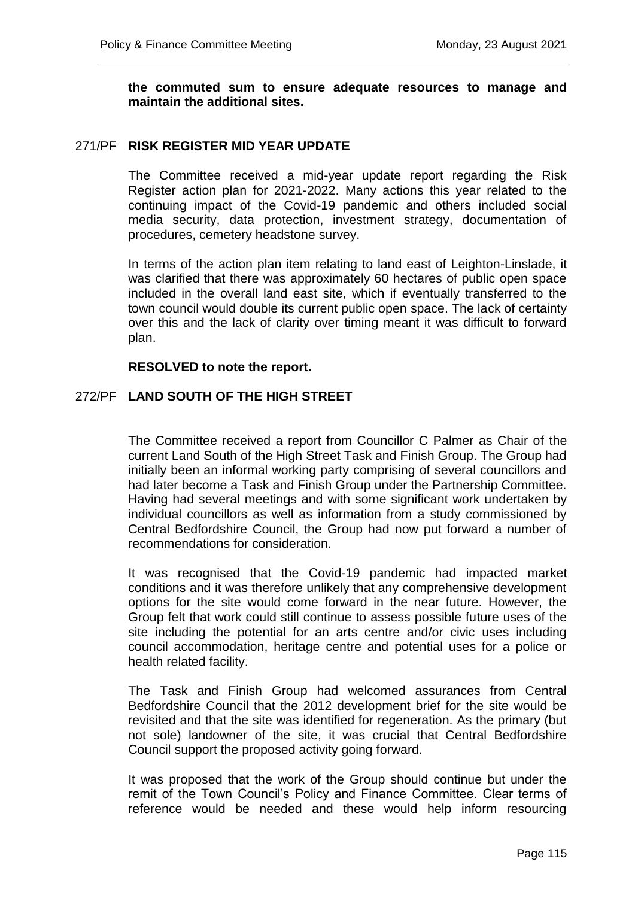**the commuted sum to ensure adequate resources to manage and maintain the additional sites.**

# 271/PF **RISK REGISTER MID YEAR UPDATE**

The Committee received a mid-year update report regarding the Risk Register action plan for 2021-2022. Many actions this year related to the continuing impact of the Covid-19 pandemic and others included social media security, data protection, investment strategy, documentation of procedures, cemetery headstone survey.

In terms of the action plan item relating to land east of Leighton-Linslade, it was clarified that there was approximately 60 hectares of public open space included in the overall land east site, which if eventually transferred to the town council would double its current public open space. The lack of certainty over this and the lack of clarity over timing meant it was difficult to forward plan.

## **RESOLVED to note the report.**

# 272/PF **LAND SOUTH OF THE HIGH STREET**

The Committee received a report from Councillor C Palmer as Chair of the current Land South of the High Street Task and Finish Group. The Group had initially been an informal working party comprising of several councillors and had later become a Task and Finish Group under the Partnership Committee. Having had several meetings and with some significant work undertaken by individual councillors as well as information from a study commissioned by Central Bedfordshire Council, the Group had now put forward a number of recommendations for consideration.

It was recognised that the Covid-19 pandemic had impacted market conditions and it was therefore unlikely that any comprehensive development options for the site would come forward in the near future. However, the Group felt that work could still continue to assess possible future uses of the site including the potential for an arts centre and/or civic uses including council accommodation, heritage centre and potential uses for a police or health related facility.

The Task and Finish Group had welcomed assurances from Central Bedfordshire Council that the 2012 development brief for the site would be revisited and that the site was identified for regeneration. As the primary (but not sole) landowner of the site, it was crucial that Central Bedfordshire Council support the proposed activity going forward.

It was proposed that the work of the Group should continue but under the remit of the Town Council's Policy and Finance Committee. Clear terms of reference would be needed and these would help inform resourcing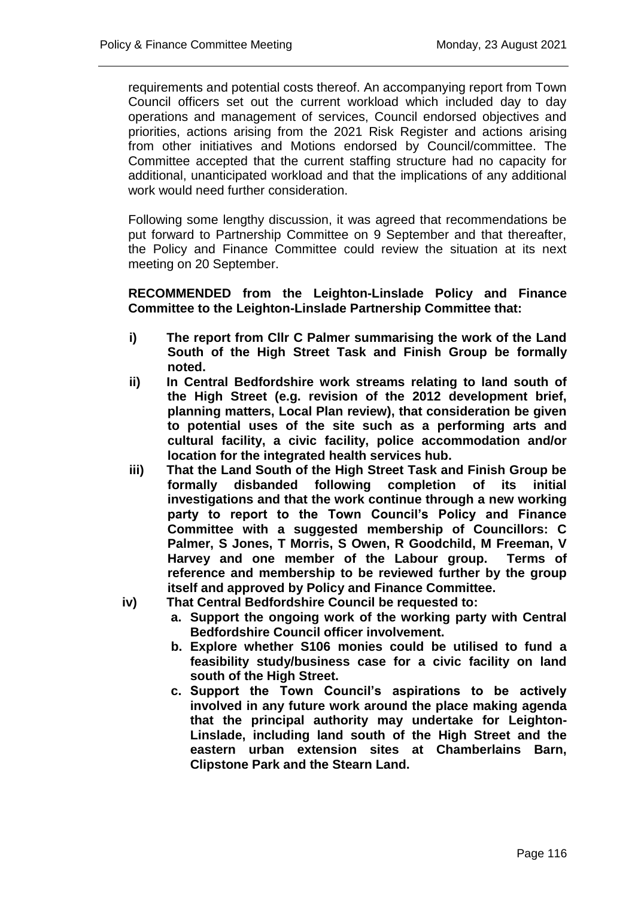requirements and potential costs thereof. An accompanying report from Town Council officers set out the current workload which included day to day operations and management of services, Council endorsed objectives and priorities, actions arising from the 2021 Risk Register and actions arising from other initiatives and Motions endorsed by Council/committee. The Committee accepted that the current staffing structure had no capacity for additional, unanticipated workload and that the implications of any additional work would need further consideration.

Following some lengthy discussion, it was agreed that recommendations be put forward to Partnership Committee on 9 September and that thereafter, the Policy and Finance Committee could review the situation at its next meeting on 20 September.

**RECOMMENDED from the Leighton-Linslade Policy and Finance Committee to the Leighton-Linslade Partnership Committee that:**

- **i) The report from Cllr C Palmer summarising the work of the Land South of the High Street Task and Finish Group be formally noted.**
- **ii) In Central Bedfordshire work streams relating to land south of the High Street (e.g. revision of the 2012 development brief, planning matters, Local Plan review), that consideration be given to potential uses of the site such as a performing arts and cultural facility, a civic facility, police accommodation and/or location for the integrated health services hub.**
- **iii) That the Land South of the High Street Task and Finish Group be formally disbanded following completion of its initial investigations and that the work continue through a new working party to report to the Town Council's Policy and Finance Committee with a suggested membership of Councillors: C Palmer, S Jones, T Morris, S Owen, R Goodchild, M Freeman, V Harvey and one member of the Labour group. Terms of reference and membership to be reviewed further by the group itself and approved by Policy and Finance Committee.**
- **iv) That Central Bedfordshire Council be requested to:**
	- **a. Support the ongoing work of the working party with Central Bedfordshire Council officer involvement.**
	- **b. Explore whether S106 monies could be utilised to fund a feasibility study/business case for a civic facility on land south of the High Street.**
	- **c. Support the Town Council's aspirations to be actively involved in any future work around the place making agenda that the principal authority may undertake for Leighton-Linslade, including land south of the High Street and the eastern urban extension sites at Chamberlains Barn, Clipstone Park and the Stearn Land.**